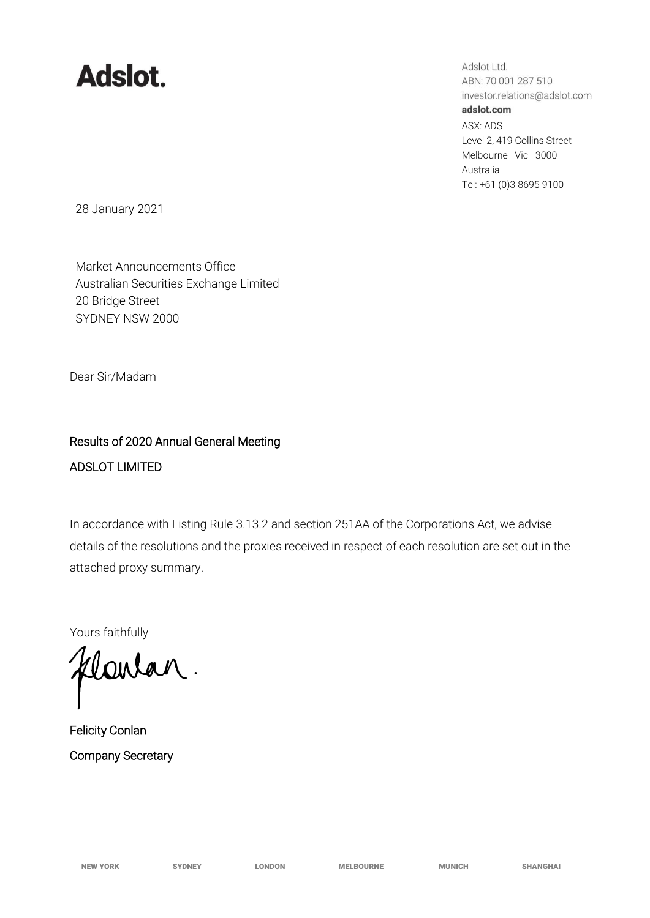## **Adslot.**

Adslot Ltd. ABN: 70 001 287 510 investor.relations@adslot.com adslot.com ASX: ADS Level 2, 419 Collins Street Melbourne Vic 3000 Australia Tel: +61 (0)3 8695 9100

28 January 2021

Market Announcements Office Australian Securities Exchange Limited 20 Bridge Street SYDNEY NSW 2000

Dear Sir/Madam

## Results of 2020 Annual General Meeting ADSLOT LIMITED

In accordance with Listing Rule 3.13.2 and section 251AA of the Corporations Act, we advise details of the resolutions and the proxies received in respect of each resolution are set out in the attached proxy summary.

Yours faithfully

flowar.

Felicity Conlan Company Secretary